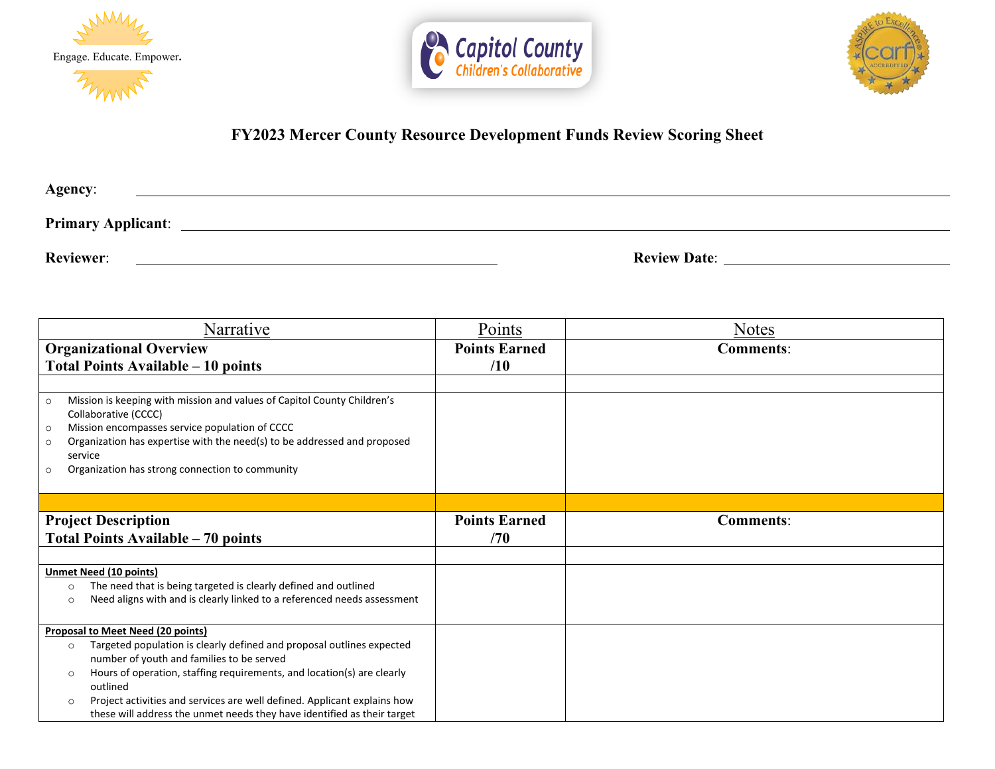





## **FY2023 Mercer County Resource Development Funds Review Scoring Sheet**

| Agency:                   |                     |
|---------------------------|---------------------|
| <b>Primary Applicant:</b> |                     |
| <b>Reviewer:</b>          | <b>Review Date:</b> |

| Narrative                                                                                      | Points               | <b>Notes</b>     |
|------------------------------------------------------------------------------------------------|----------------------|------------------|
| <b>Organizational Overview</b>                                                                 | <b>Points Earned</b> | <b>Comments:</b> |
| Total Points Available – 10 points                                                             | /10                  |                  |
|                                                                                                |                      |                  |
| Mission is keeping with mission and values of Capitol County Children's<br>$\circ$             |                      |                  |
| Collaborative (CCCC)                                                                           |                      |                  |
| Mission encompasses service population of CCCC<br>$\circ$                                      |                      |                  |
| Organization has expertise with the need(s) to be addressed and proposed<br>$\circ$<br>service |                      |                  |
| Organization has strong connection to community<br>$\circ$                                     |                      |                  |
|                                                                                                |                      |                  |
|                                                                                                |                      |                  |
| <b>Project Description</b>                                                                     | <b>Points Earned</b> | <b>Comments:</b> |
| <b>Total Points Available - 70 points</b>                                                      | /70                  |                  |
|                                                                                                |                      |                  |
| <b>Unmet Need (10 points)</b>                                                                  |                      |                  |
| The need that is being targeted is clearly defined and outlined<br>$\circ$                     |                      |                  |
| Need aligns with and is clearly linked to a referenced needs assessment<br>$\circ$             |                      |                  |
|                                                                                                |                      |                  |
| <b>Proposal to Meet Need (20 points)</b>                                                       |                      |                  |
| Targeted population is clearly defined and proposal outlines expected<br>$\circ$               |                      |                  |
| number of youth and families to be served                                                      |                      |                  |
| Hours of operation, staffing requirements, and location(s) are clearly<br>$\circ$              |                      |                  |
| outlined<br>Project activities and services are well defined. Applicant explains how           |                      |                  |
| $\circ$<br>these will address the unmet needs they have identified as their target             |                      |                  |